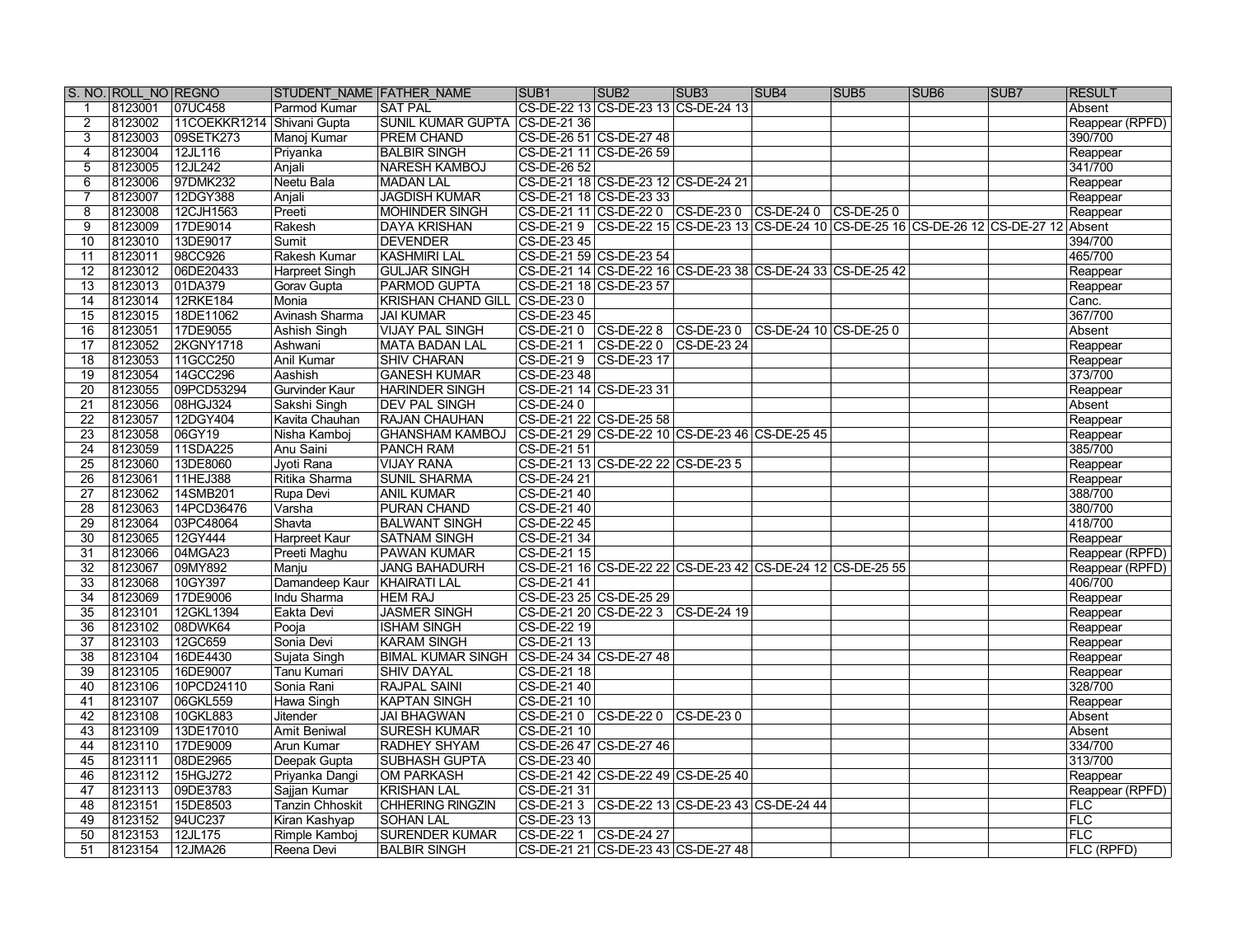|                 | S. NO. ROLL NO REGNO |                            | STUDENT NAME FATHER NAME               |                                           | SUB <sub>1</sub>                     | SUB <sub>2</sub>                    | SUB <sub>3</sub>                                                                   | SUB4                              | SUB <sub>5</sub> | SUB <sub>6</sub> | SUB7 | <b>RESULT</b>          |
|-----------------|----------------------|----------------------------|----------------------------------------|-------------------------------------------|--------------------------------------|-------------------------------------|------------------------------------------------------------------------------------|-----------------------------------|------------------|------------------|------|------------------------|
|                 | 8123001              | 07UC458                    | Parmod Kumar                           | <b>SAT PAL</b>                            |                                      |                                     | CS-DE-22 13 CS-DE-23 13 CS-DE-24 13                                                |                                   |                  |                  |      | Absent                 |
|                 | 8123002              | 11COEKKR1214 Shivani Gupta |                                        | SUNIL KUMAR GUPTA CS-DE-21 36             |                                      |                                     |                                                                                    |                                   |                  |                  |      | Reappear (RPFD)        |
| 3               | 8123003              | 09SETK273                  | Manoj Kumar                            | <b>PREM CHAND</b>                         |                                      | CS-DE-26 51 CS-DE-27 48             |                                                                                    |                                   |                  |                  |      | 390/700                |
| 4               | 8123004              | 12JL116                    | Priyanka                               | <b>BALBIR SINGH</b>                       |                                      | CS-DE-21 11 CS-DE-26 59             |                                                                                    |                                   |                  |                  |      | Reappear               |
| 5               | 8123005              | 12JL242                    | Anjali                                 | <b>NARESH KAMBOJ</b>                      | CS-DE-26 52                          |                                     |                                                                                    |                                   |                  |                  |      | 341/700                |
| 6               | 8123006              | 97DMK232                   | Neetu Bala                             | <b>MADAN LAL</b>                          |                                      | CS-DE-21 18 CS-DE-23 12 CS-DE-24 21 |                                                                                    |                                   |                  |                  |      | Reappear               |
|                 | 8123007              | 12DGY388                   | Anjali                                 | <b>JAGDISH KUMAR</b>                      |                                      | CS-DE-21 18 CS-DE-23 33             |                                                                                    |                                   |                  |                  |      | Reappear               |
| 8               | 8123008              | 12CJH1563                  | Preeti                                 | MOHINDER SINGH                            |                                      |                                     | CS-DE-21 11 CS-DE-22 0 CS-DE-23 0 CS-DE-24 0 CS-DE-25 0                            |                                   |                  |                  |      | Reappear               |
| 9               | 8123009              | 17DE9014                   | Rakesh                                 | DAYA KRISHAN                              |                                      |                                     | CS-DE-21 9 CS-DE-22 15 CS-DE-23 13 CS-DE-24 10 CS-DE-25 16 CS-DE-26 12 CS-DE-27 12 |                                   |                  |                  |      | Absent                 |
| 10              | 8123010              | 13DE9017                   | Sumit                                  | <b>DEVENDER</b>                           | $ CS$ -DE-23 45                      |                                     |                                                                                    |                                   |                  |                  |      | 394/700                |
| 11              | 8123011              | 98CC926                    | Rakesh Kumar                           | <b>KASHMIRI LAL</b>                       | CS-DE-21 59 CS-DE-23 54              |                                     |                                                                                    |                                   |                  |                  |      | 465/700                |
| 12              | 8123012              | 06DE20433                  | Harpreet Singh                         | <b>GULJAR SINGH</b>                       |                                      |                                     | CS-DE-21 14 CS-DE-22 16 CS-DE-23 38 CS-DE-24 33 CS-DE-25 42                        |                                   |                  |                  |      | Reappear               |
| 13              | 8123013              | 01DA379                    | Gorav Gupta                            | <b>PARMOD GUPTA</b>                       | CS-DE-21 18 CS-DE-23 57              |                                     |                                                                                    |                                   |                  |                  |      | Reappear               |
| 14              | 8123014              | 12RKE184                   | Monia                                  | <b>KRISHAN CHAND GILL</b>                 | $ CS-DE-230$                         |                                     |                                                                                    |                                   |                  |                  |      | Canc.                  |
| 15              | 8123015              | 18DE11062                  | <b>Avinash Sharma</b>                  | <b>JAI KUMAR</b>                          | CS-DE-23 45                          |                                     |                                                                                    |                                   |                  |                  |      | 367/700                |
| 16              | 8123051              | 17DE9055                   | <b>Ashish Singh</b>                    | <b>VIJAY PAL SINGH</b>                    | $CS$ -DE-210                         | $\overline{CS-DE-228}$              |                                                                                    | CS-DE-23 0 CS-DE-24 10 CS-DE-25 0 |                  |                  |      | Absent                 |
| 17              | 8123052              | <b>2KGNY1718</b>           | Ashwani                                | <b>MATA BADAN LAL</b>                     | CS-DE-211                            | $\overline{CS-DE-220}$              | CS-DE-23 24                                                                        |                                   |                  |                  |      | Reappear               |
| 18              | 8123053              | 11GCC250                   | <b>Anil Kumar</b>                      | <b>SHIV CHARAN</b>                        | CS-DE-219                            | CS-DE-23 17                         |                                                                                    |                                   |                  |                  |      | Reappear               |
| 19              | 8123054              | 14GCC296                   | Aashish                                | <b>GANESH KUMAR</b>                       | CS-DE-23 48                          |                                     |                                                                                    |                                   |                  |                  |      | 373/700                |
| 20              | 8123055              | 09PCD53294                 | <b>Gurvinder Kaur</b>                  | <b>HARINDER SINGH</b>                     | CS-DE-21 14 CS-DE-23 31              |                                     |                                                                                    |                                   |                  |                  |      | Reappear               |
| 21              | 8123056              | 08HGJ324                   | Sakshi Singh                           | <b>DEV PAL SINGH</b>                      | <b>CS-DE-240</b>                     |                                     |                                                                                    |                                   |                  |                  |      | Absent                 |
| 22              | 8123057              | 12DGY404                   | Kavita Chauhan                         | <b>RAJAN CHAUHAN</b>                      |                                      | CS-DE-21 22 CS-DE-25 58             |                                                                                    |                                   |                  |                  |      | Reappear               |
| 23              | 8123058              | 06GY19                     | Nisha Kamboj                           | <b>GHANSHAM KAMBOJ</b>                    |                                      |                                     | CS-DE-21 29 CS-DE-22 10 CS-DE-23 46 CS-DE-25 45                                    |                                   |                  |                  |      | Reappear               |
| 24              | 8123059              | 11SDA225                   | Anu Saini                              | <b>PANCH RAM</b>                          | $\overline{\text{CS-DE-21}}$ 51      |                                     |                                                                                    |                                   |                  |                  |      | 385/700                |
| 25              | 8123060              | 13DE8060                   | Jyoti Rana                             | <b>VIJAY RANA</b>                         |                                      | CS-DE-21 13 CS-DE-22 22 CS-DE-23 5  |                                                                                    |                                   |                  |                  |      | Reappear               |
| 26              | 8123061              | 11HEJ388                   | Ritika Sharma                          | <b>SUNIL SHARMA</b>                       | CS-DE-24 21                          |                                     |                                                                                    |                                   |                  |                  |      | Reappear               |
| 27              | 8123062              | 14SMB201                   | Rupa Devi                              | <b>ANIL KUMAR</b>                         | CS-DE-21 40                          |                                     |                                                                                    |                                   |                  |                  |      | 388/700                |
| 28              | 8123063              | 14PCD36476                 | Varsha                                 | <b>PURAN CHAND</b>                        | CS-DE-21 40                          |                                     |                                                                                    |                                   |                  |                  |      | 380/700                |
| 29              | 8123064              | 03PC48064                  | Shavta                                 | <b>BALWANT SINGH</b>                      | CS-DE-22 45                          |                                     |                                                                                    |                                   |                  |                  |      | 418/700                |
| 30              | 8123065              | 12GY444                    | Harpreet Kaur                          | <b>SATNAM SINGH</b>                       | $\overline{\text{CS-DE-21}}$ 34      |                                     |                                                                                    |                                   |                  |                  |      | Reappear               |
| 31              | 8123066              | 04MGA23                    | Preeti Maghu                           | <b>PAWAN KUMAR</b>                        | CS-DE-21 15                          |                                     |                                                                                    |                                   |                  |                  |      | Reappear (RPFD)        |
| 32              | 8123067              | 09MY892                    | Manju                                  | <b>JANG BAHADURH</b>                      |                                      |                                     | CS-DE-21 16 CS-DE-22 22 CS-DE-23 42 CS-DE-24 12 CS-DE-25 55                        |                                   |                  |                  |      | Reappear (RPFD)        |
| 33              | 8123068              | 10GY397                    | Damandeep Kaur KHAIRATI LAL            |                                           | CS-DE-21 41                          |                                     |                                                                                    |                                   |                  |                  |      | 406/700                |
| 34              | 8123069              | 17DE9006                   | Indu Sharma                            | <b>HEM RAJ</b>                            |                                      | CS-DE-23 25 CS-DE-25 29             |                                                                                    |                                   |                  |                  |      | Reappear               |
| 35              | 8123101              | 12GKL1394                  | Eakta Devi                             | <b>JASMER SINGH</b>                       |                                      |                                     | CS-DE-21 20 CS-DE-22 3 CS-DE-24 19                                                 |                                   |                  |                  |      | Reappear               |
| $\overline{36}$ | 8123102              | 08DWK64                    | Pooja                                  | <b>ISHAM SINGH</b>                        | CS-DE-22 19                          |                                     |                                                                                    |                                   |                  |                  |      | Reappear               |
| 37              | 8123103              | 12GC659                    | Sonia Devi                             | <b>KARAM SINGH</b>                        | CS-DE-21 13                          |                                     |                                                                                    |                                   |                  |                  |      | Reappear               |
| 38              | 8123104              | 16DE4430                   | Sujata Singh                           | <b>BIMAL KUMAR SINGH</b>                  |                                      | CS-DE-24 34 CS-DE-27 48             |                                                                                    |                                   |                  |                  |      | Reappear               |
| 39              | 8123105              | 16DE9007                   | <b>Tanu Kumari</b>                     | <b>SHIV DAYAL</b>                         | CS-DE-21 18                          |                                     |                                                                                    |                                   |                  |                  |      | Reappear               |
| 40              | 8123106              | 10PCD24110                 | Sonia Rani                             | <b>RAJPAL SAINI</b>                       | CS-DE-21 40                          |                                     |                                                                                    |                                   |                  |                  |      | 328/700                |
| 41              | 8123107              | 06GKL559                   | Hawa Singh                             | <b>KAPTAN SINGH</b>                       | CS-DE-21 10                          |                                     |                                                                                    |                                   |                  |                  |      | Reappear               |
| 42              | 8123108              | 10GKL883                   | <b>Jitender</b>                        | <b>JAI BHAGWAN</b><br><b>SURESH KUMAR</b> | CS-DE-21 0 CS-DE-22 0<br>CS-DE-21 10 |                                     | $ CS$ -DE-230                                                                      |                                   |                  |                  |      | Absent                 |
| 43              | 8123109              | 13DE17010                  | Amit Beniwal                           |                                           |                                      |                                     |                                                                                    |                                   |                  |                  |      | Absent                 |
| 44              | 8123110              | 17DE9009                   | Arun Kumar                             | <b>RADHEY SHYAM</b>                       |                                      | CS-DE-26 47 CS-DE-27 46             |                                                                                    |                                   |                  |                  |      | 334/700<br>313/700     |
| 45              | 8123111              | 08DE2965                   | Deepak Gupta                           | <b>SUBHASH GUPTA</b>                      | $ CS$ -DE-23 40                      |                                     | CS-DE-21 42 CS-DE-22 49 CS-DE-25 40                                                |                                   |                  |                  |      |                        |
| 46              | 8123112              | 15HGJ272                   | Priyanka Dangi                         | <b>OM PARKASH</b><br><b>KRISHAN LAL</b>   | CS-DE-21 31                          |                                     |                                                                                    |                                   |                  |                  |      | Reappear               |
| 47<br>48        | 8123113<br>8123151   | 09DE3783<br>15DE8503       | Sajjan Kumar<br><b>Tanzin Chhoskit</b> | <b>CHHERING RINGZIN</b>                   |                                      |                                     | CS-DE-21 3 CS-DE-22 13 CS-DE-23 43 CS-DE-24 44                                     |                                   |                  |                  |      | Reappear (RPFD)<br>FLC |
| 49              | 8123152              | 94UC237                    | Kiran Kashyap                          | <b>SOHAN LAL</b>                          | CS-DE-23 13                          |                                     |                                                                                    |                                   |                  |                  |      | FLC                    |
| 50              | 8123153              | 12JL175                    | Rimple Kamboj                          | <b>SURENDER KUMAR</b>                     | <b>CS-DE-221</b>                     | CS-DE-24 27                         |                                                                                    |                                   |                  |                  |      | FLC                    |
| 51              | 8123154              | 12JMA26                    | Reena Devi                             | <b>BALBIR SINGH</b>                       |                                      |                                     | CS-DE-21 21 CS-DE-23 43 CS-DE-27 48                                                |                                   |                  |                  |      | FLC (RPFD)             |
|                 |                      |                            |                                        |                                           |                                      |                                     |                                                                                    |                                   |                  |                  |      |                        |